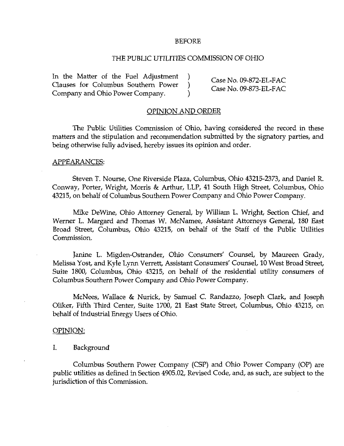#### BEFORE

#### THE PUBLIC UTILITIES COMMISSION OF OHIO

In the Matter of the Fuel Adjustment )  $\qquad \qquad$  Case No. 09-872-EL-FAC Clauses for Columbus Southern Power ) <br>
Case No. 09-873-EL-FAC Company and Ohio Power Company and  $\overline{O}$  .  $\overline{O}$  .  $\overline{O}$  .  $\overline{O}$  .  $\overline{O}$  .  $\overline{O}$  .  $\overline{O}$  .  $\overline{O}$  .  $\overline{O}$  .  $\overline{O}$  .  $\overline{O}$  .  $\over$ 

#### OPINION AND ORDER

The Public Utilities Commission of Ohio, having considered the record in these matters and the stipulation and recommendation submitted by the signatory parties, and being otherwise fully advised, hereby issues its opinion and order.

#### APPEARANCES:

Steven T. Nourse, One Riverside Plaza, Columbus, Ohio 43215-2373, and Daniel R. Conway, Porter, Wright, Morris & Arthur, LLP, 41 South High Street, Columbus, Ohio 43215, on behalf of Columbus Southern Power Company and Ohio Power Compemy.

Mike DeWine, Ohio Attorney General, by William L. Wright, Section Chief, and Werner L. Margard and Thomas W. McNamee, Assistant Attorneys General, 180 East Broad Street, Columbus, Ohio 43215, on behalf of the Staff of the Public Utilities Commission.

Janine L. Migden-Ostrander, Ohio Consumers' Counsel, by Maureen Grady, Melissa Yost, and Kyle Lynn Verrett, Assistant Consumers' Counsel, 10 West Broad Street, Suite 1800, Columbus, Ohio 43215, on behalf of the residential utility consumers of Columbus Southern Power Company and Ohio Power Company.

McNees, Wallace & Nurick, by Samuel C. Randazzo, Joseph Clark, and Joseph Oliker, Fifth Third Center, Suite 1700, 21 East State Street, Columbus, Ohio 43215, on behalf of Industrial Energy Users of Ohio.

#### OPINION:

I. Background

Columbus Southern Power Company (CSP) and Ohio Power Company (OP) are public utilities as defined in Section 4905.02, Revised Code, and, as such, are subject to the jurisdiction of this Commission.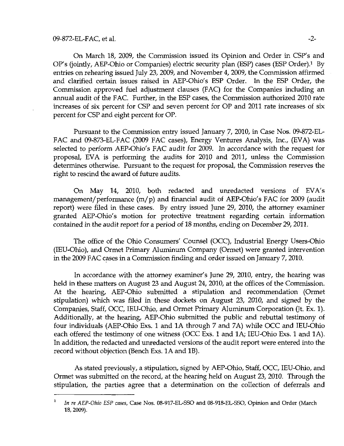On March 18, 2009, the Commission issued its Opinion and Order in CSP's and OP's (jointly, AEP-Ohio or Companies) electric security plan (ESP) cases (ESP Order).<sup>1</sup> By entries on rehearing issued July 23, 2009, and November 4, 2009, the Commission affirmed and clarified certain issues raised in AEP-Ohio's ESP Order, In the ESP Order, the Commission approved fuel adjustment clauses (FAC) for the Companies including an annual audit of the FAC. Further, in the ESP cases, the Commission authorized 2010 rate increases of six percent for CSP and seven percent for OP and 2011 rate increases of six percent for CSP and eight percent for OP.

Pursuant to the Commission entry issued January 7, 2010, in Case Nos. 09-872-EL-FAC and 09-873-EL-FAC (2009 FAC cases). Energy Ventures Analysis, Inc., (EVA) was selected to perform AEP-Ohio's FAC audit for 2009. In accordance with the request for proposal, EVA is performing the audits for 2010 and 2011, unless the Commission determines otherwise. Pursuant to the request for proposal, the Commission reserves the right to rescind the award of future audits.

On May 14, 2010, both redacted and unredacted versions of EVA's management/performance (m/p) and financial audit of AEP-Ohio's FAC for 2009 (audit report) were filed in these cases. By entry issued June 29, 2010, the attorney examiner granted AEP-Ohio's motion for protective treatment regarding certain information contained in the audit report for a period of 18 months, ending on December 29,2011.

The office of the Ohio Consumers' Counsel (OCC), Industrial Energy Users-Ohio (lEU-Ohio), and Ormet Primary Aluminum Company (Ormet) were granted intervention in the 2009 FAC cases in a Commission finding and order issued on January 7, 2010.

In accordance with the attorney examiner's June 29, 2010, entry, the hearing was held in these matters on August 23 and August 24, 2010, at the offices of the Commission. At the hearing, AEP-Ohio submitted a stipulation and recommendation (Ormet stipulation) which was filed in these dockets on August 23, 2010, and signed by the Companies, Staff, OCC, lEU-Ohio, and Ormet Primary Aluminum Corporation (Jt, Ex. 1). Additionally, at the hearing, AEP-Ohio submitted the public and rebuttal testimony of four individuals (AEP-Ohio Exs. 1 and lA through 7 and 7A) while OCC and lEU-Ohio each offered the testimony of one witness (OCC Exs. 1 and lA; lEU-Ohio Exs. 1 and lA). In addition, the redacted and unredacted versions of the audit report were entered into the record without objection (Bench Exs. lA and IB).

As stated previously, a stipulation, signed by AEP-Ohio, Staff, OCC, lEU-Ohio, and Ormet was submitted on the record, at the hearing held on August 23, 2010. Through the stipulation, the parties agree that a determination on the collection of deferrals and

<sup>&</sup>lt;sup>1</sup> In re AEP-Ohio ESP cases, Case Nos. 08-917-EL-SSO and 08-918-EL-SSO, Opinion and Order (March 18,2009).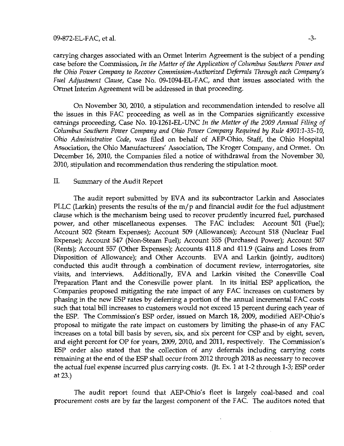### $09-872-EL-FAC$ , et al.  $-3-$

carrying charges associated with an Ormet Interim Agreement is the subject of a pending case before the Commission, In the Matter of the Application of Columbus Southern Power and the Ohio Power Company to Recover Commission-Authorized Deferrals Through each Company's Fuel Adjustment Clause, Case No. 09-1094-EL-FAC, and that issues associated with the Ormet Interim Agreement will be addressed in that proceeding.

On November 30, 2010, a stipulation and recommendation intended to resolve all the issues in this FAC proceeding as well as in the Companies significantly excessive earnings proceeding. Case No. 10-1261-EL-UNC In the Matter of the 2009 Annual Filing of Columbus Southern Power Company and Ohio Power Company Required by Rule 4901:1-35-10, Ohio Administrative Code, was filed on behalf of AEP-Ohio, Staff, the Ohio Hospital Association, the Ohio Manufacturers' Association, The Kroger Company, and Ormet. On December 16, 2010, the Companies filed a notice of withdrawal from the November 30, 2010, stipulation and recommendation thus rendering the stipulation moot.

# II. Summary of the Audit Report

The audit report submitted by EVA and its subcontractor Larkin and Associates PLLC (Larkin) presents the results of the m/ p and financial audit for the fuel adjustment clause which is the mechanism being used to recover prudently incurred fuel, purchased power, and other miscellaneous expenses. The FAC includes; Account 501 (Fuel); Account 502 (Steam Expenses); Account 509 (Allowances); Account 518 (Nuclear Fuel Expense); Account 547 (Non-Steam Fuel); Account 555 (Purchased Power); Account 507 (Rents); Account 557 (Other Expenses); Accounts 411.8 and 411.9 (Gains and Loses from Disposition of Allowance); and Other Accounts. EVA and Larkin (jointiy, auditors) conducted this audit through a combination of document review, interrogatories, site visits, and interviews. Additionally, EVA and Larkin visited the Conesville Coal Preparation Plant and the Conesville power plant. In its initial ESP application, the Companies proposed mitigating the rate impact of any FAC increases on customers by phasing in the new ESP rates by deferring a portion of the annual incremental FAC costs such that total bill increases to customers would not exceed 15 percent during each year of the ESP. The Commission's ESP order, issued on March 18, 2009, modified AEP-Ohio's proposal to mitigate the rate impact on customers by limiting the phase-in of any FAC increases on a total bill basis by seven, six, and six percent for CSP and by eight, seven, and eight percent for OP for years, 2009, 2010, and 2011, respectively. The Commission's ESP order also stated that the collection of any deferrals including carrying costs remaining at the end of the ESP shall occur from 2012 through 2018 as necessary to recover the actual fuel expense incurred plus carrying costs. (Jt. Ex. 1 at 1-2 through 1-3; ESP order at 23.)

The audit report found that AEP-Ohio's fleet is largely coal-based and coal procurement costs are by far the largest component of the FAC. The auditors noted that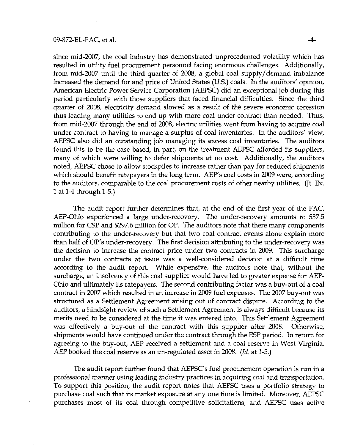since mid-2007, the coal industry has demonstrated unprecedented volatility which has resulted in utility fuel procurement personnel facing enormous challenges. Additionally, from mid-2007 until the third quarter of 2008, a global coal supply/demand imbalance increased the demand for and price of United States (U.S.) coals. In the auditors' opinion, American Electric Power Service Corporation (AEPSC) did an exceptional job during this period particularly with those suppliers that faced financial difficulties. Since the third quarter of 2008, electricity demand slowed as a result of the severe economic recession thus leading many utilities to end up with more coal under contract than needed. Thus, from mid-2007 through the end of 2008, electric utilities went from having to acquire coal under contract to having to manage a surplus of coal inventories. In the auditors' view, AEPSC also did an outstanding job managing its excess coal inventories. The auditors found this to be the case based, in part, on the treatment AEPSC afforded its suppliers, many of which were willing to defer shipments at no cost. Additionally, the auditors noted, AEPSC chose to allow stockpiles to increase rather than pay for reduced shipments which should benefit ratepayers in the long term. AEP's coal costs in 2009 were, according to the auditors, comparable to the coal procurement costs of other nearby utilities. (Jt, Ex. 1 at 1-4 through 1-5.)

The audit report further determines that, at the end of the first year of the FAC, AEP-Ohio experienced a large under-recovery. The under-recovery amounts to \$37.5 million for CSP and \$297.6 million for OP, The auditors note that there many components contributing to the under-recovery but that two coal contract events alone explain more than half of OP's under-recovery. The first decision attributing to the under-recovery was the decision to increase the contract price under two contracts in 2009. This surcharge under the two contracts at issue was a well-considered decision at a difficult time according to the audit report. While expensive, the auditors note that, without the surcharge, an insolvency of this coal supplier would have led to greater expense for AEP-Ohio and ultimately its ratepayers. The second contributing factor was a buy-out of a coal contract in 2007 which resulted in an increase in 2009 fuel expenses. The 2007 buy-out was structured as a Settlement Agreement arising out of contract dispute. According to the auditors, a hindsight review of such a Settiement Agreement is always difficult because its merits need to be considered at the time it was entered into. This Settlement Agreement was effectively a buy-out of the contract with this supplier after 2008. Otherwise, shipments would have continued under the contract through the ESP period. In return for agreeing to the buy-out, AEP received a settlement and a coal reserve in West Virginia. AEP booked the coal reserve as an un-regulated asset in 2008. (Id. at 1-5.)

The audit report further found that AEPSC's fuel procurement operation is run in a professional manner using leading industry practices in acquiring coal and transportation. To support this position, the audit report notes that AEPSC uses a portfolio strategy to purchase coal such that its market exposure at any one time is limited. Moreover, AEPSC purchases most of its coal through competitive solicitations, and AEPSC uses active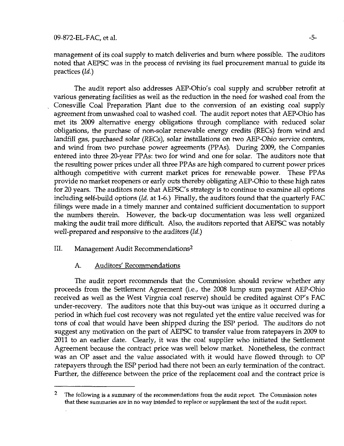# management of its coal supply to match deliveries and burn where possible. The auditors noted that AEPSC was in the process of revising its fuel procurement manual to guide its practices (Id.)

The audit report also addresses AEP-Ohio's coal supply and scrubber retrofit at various generating facilities as well as the reduction in the need for washed coal from the Conesville Coal Preparation Plant due to the conversion of an existing coal supply agreement from unwashed coal to washed coal. The audit report notes that AEP-Ohio has met its 2009 alternative energy obligations through compliance with reduced solar obligations, the purchase of non-solar renewable energy credits (RECs) from wind and landfill gas, purchased solar (RECs), solar installations on two AEP-Ohio service centers, and wind from two purchase power agreements (PPAs). During 2009, the Companies entered into three 20-year PPAs: two for wind and one for solar. The auditors note that the resulting power prices under all three PPAs are high compared to current power prices although competitive with current market prices for renewable power. These PPAs provide no market reopeners or early outs thereby obligating AEP-Ohio to these high rates for 20 years. The auditors note that AEPSC's strategy is to continue to examine all options including self-build options (Id. at 1-6.) Finally, the auditors found that the quarterly FAC filings were made in a timely manner and contained sufficient documentation to support the numbers therein. However, the back-up documentation was less well organized making the audit trail more difficult. Also, the auditors reported that AEPSC was notably well-prepared and responsive to the auditors (Id.)

# III. Management Audit Recommendations<sup>2</sup>

# A. Auditors' Recommendations

The audit report recommends that the Commission should review whether any proceeds from the Settlement Agreement (i.e., the 2008 lump sum payment AEP-Ohio received as well as the West Virgnia coal reserve) should be credited against OP's FAC under-recovery. The auditors note that this buy-out was unique as it occurred during a period in which fuel cost recovery was not regulated yet the entire value received was for tons of coal that would have been shipped during the ESP period. The auditors do not suggest any motivation on the part of AEPSC to transfer value from ratepayers in 2009 to 2011 to an earlier date. Clearly, it was the coal supplier who initiated the Settlement Agreement because the contract price was well below market. Nonetheless, the contract was an OP asset and the value associated with it would have flowed through to OP ratepayers through the ESP period had there not been an early termination of the contract. Further, the difference between the price of the replacement coal and the contract price is

 $2$  The following is a summary of the recommendations from the audit report. The Commission notes that these summaries are in no way intended to replace or supplement the text of the audit report.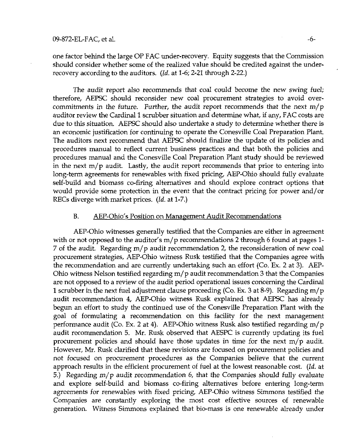one factor behind the large OP FAC under-recovery. Equity suggests that the Commission should consider whether some of the realized value should be credited against the underrecovery according to the auditors. (Id. at 1-6; 2-21 through 2-22.)

The audit report also recommends that coal could become the new swing fuel; therefore, AEPSC should reconsider new coal procurement strategies to avoid overcommitments in the future. Further, the audit report recommends that the next  $m/p$ auditor review the Cardinal 1 scrubber situation and determine what, if any, FAC costs are due to this situation. AEPSC should also undertake a study to determine whether there is an economic justification for continuing to operate the Conesville Coal Preparation Plant. The auditors next recommend that AEPSC should finalize the update of its policies and procedures manual to reflect current business practices and that both the policies and procedures manual and the Conesville Coal Preparation Plant study should be reviewed in the next  $m/p$  audit. Lastly, the audit report recommends that prior to entering into long-term agreements for renewables with fixed pricing, AEP-Ohio should fully evaluate self-build and biomass co-firing alternatives and should explore contract options that would provide some protection in the event that the contract pricing for power and/or RECs diverge with market prices. (Id. at 1-7.)

### B. AEP-Ohio's Position on Management Audit Recommendations

AEP-Ohio witnesses generally testified that the Companies are either in agreement with or not opposed to the auditor's m/ p recommendations 2 through 6 found at pages 1- 7 of the audit. Regarding m/ p audit recommendation 2, the reconsideration of new coal procurement strategies, AEP-Ohio witness Rusk testified that the Companies agree with the recommendation and are currently undertaking such an effort (Co. Ex. 2 at 3). AEP-Ohio witness Nelson testified regarding  $m/p$  audit recommendation 3 that the Companies are not opposed to a review of the audit period operational issues concerning the Cardinal 1 scrubber in the next fuel adjustment clause proceeding (Co. Ex. 3 at 8-9). Regarding m/ p audit recommendation 4, AEP-Ohio witness Rusk explained that AEPSC has already begun an effort to study the continued use of the Conesville Preparation Plant with the goal of formulating a recommendation on this facility for the next management performance audit (Co. Ex. 2 at 4). AEP-Ohio witness Rusk also testified regarding m/ p audit recommendation 5. Mr. Rusk observed that AESPC is currently updating its fuel procurement policies and should have those updates in time for the next  $m/p$  audit. However, Mr. Rusk clarified that these revisions are focused on procurement policies and not focused on procurement procedures as the Companies believe that the current approach results in the efficient procurement of fuel at the lowest reasonable cost. (Id. at 5.) Regarding  $m/p$  audit recommendation 6, that the Companies should fully evaluate and explore self-build and biomass co-firing alternatives before entering long-term agreements for renewables with fixed pricing, AEP-Ohio witness Simmons testified the Companies are constantly exploring the most cost effective sources of renewable generation. Witness Simmons explained that bio-mass is one renewable already under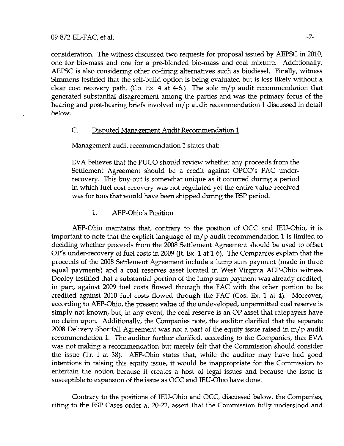consideration. The witness discussed two requests for proposal issued by AEPSC in 2010, one for bio-mass and one for a pre-blended bio-mass and coal mixture. Additionally, AEPSC is also considering other co-firing alternatives such as biodiesel. Finally, witness Simmons testified that the self-build option is being evaluated but is less likely without a clear cost recovery path, (Co. Ex. 4 at 4-6.) The sole m/ p audit recommendation that generated substantial disagreement among the parties and was the primary focus of the hearing and post-hearing briefs involved m/ p audit recommendation 1 discussed in detail below.

# C. Disputed Management Audit Recommendation 1

Management audit recommendation 1 states that:

EVA believes that the PUCO should review whether any proceeds from the Settlement Agreement should be a credit against OPCO's FAC underrecovery. This buy-out is somewhat unique as it occurred during a period in which fuel cost recovery was not regulated yet the entire value received was for tons that would have been shipped during the ESP period.

# 1. AEP-Ohio's Position

AEP-Ohio maintains that, contrary to the position of OCC and lEU-Ohio, it is important to note that the explicit language of  $m/p$  audit recommendation 1 is limited to deciding whether proceeds from the 2008 Settiement Agreement should be used to offset OP's under-recovery of fuel costs in 2009 (Jt. Ex. 1 at 1-6). The Companies explain that the proceeds of the 2008 Settlement Agreement include a lump sum payment (made in three equal payments) and a coal reserves asset located in West Virginia AEP-Ohio witness Dooley testified that a substantial portion of the lump sum payment was already credited, in part, against 2009 fuel costs flowed through the FAC with the other portion to be credited against 2010 fuel costs flowed through the FAC (Cos. Ex. 1 at 4), Moreover, according to AEP-Ohio, the present value of the undeveloped, unpermitted coal reserve is simply not known, but, in any event, the coal reserve is an OP asset that ratepayers have no claim upon. Additionally, the Companies note, the auditor clarified that the separate 2008 Delivery Shortfall Agreement was not a part of the equity issue raised in m/ p audit recommendation 1. The auditor further clarified, according to the Companies, that EVA was not making a recommendation but merely felt that the Commission should consider the issue (Tr. I at 38). AEP-Ohio states that, while the auditor may have had good intentions in raising this equity issue, it would be inappropriate for the Commission to entertain the notion because it creates a host of legal issues and because the issue is susceptible to expansion of the issue as OCC and lEU-Ohio have done.

Contrary to the positions of IEU-Ohio and OCC, discussed below, the Companies, citing to the ESP Cases order at 20-22, assert that the Commission fully understood and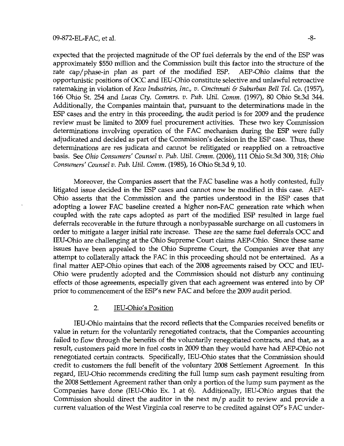expected that the projected magnitude of the OP fuel deferrals by the end of the ESP was approximately \$550 million and the Commission built this factor into the structure of the rate cap/phase-in plan as part of the modified ESP. AEP-Ohio claims that the opportunistic positions of OCC and lEU-Ohio constitute selective and unlawful retroactive ratemaking in violation of Keco Industries, Inc., v. Cincinnati & Suburban Bell Tel. Co. (1957), 166 Ohio St. 254 and Lucas Cty. Commrs. v. Pub. Util. Comm. (1997), 80 Ohio St.3d 344. Additionally, the Companies maintain that, pursuant to the determinations made in the ESP cases and the entry in this proceeding, the audit period is for 2009 and the prudence review must be limited to 2009 fuel procurement activities. These two key Commission determinations involving operation of the FAC mechanism during the ESP were fully adjudicated and decided as part of the Commission's decision in the ESP case. Thus, these determinations are res judicata and cannot be relitigated or reapplied on a retroactive basis. See Ohio Consumers' Counsel v. Pub. Util. Comm. (2006), 111 Ohio St.3d 300, 318; Ohio Consumers' Counsel v. Pub. Util. Comm. (1985), 16 Ohio St.3d 9,10.

Moreover, the Companies assert that the FAC baseline was a hotly contested, fully litigated issue decided in the ESP cases and cannot now be modified in this case. AEP-Ohio asserts that the Commission and the parties understood in the ESP cases that adopting a lower FAC baseline created a higher non-FAC generation rate which when coupled with the rate caps adopted as part of the modified ESP resulted in large fuel deferrals recoverable in the future through a nonbypassable surcharge on all customers in order to mitigate a larger initial rate increase. These are the same fuel deferrals OCC and lEU-Ohio are challenging at the Ohio Supreme Court claims AEP-Ohio. Since these same issues have been appealed to the Ohio Supreme Court, the Companies aver that any attempt to collaterally attack the FAC in this proceeding should not be entertained. As a final matter AEP-Ohio opines that each of the 2008 agreements raised by OCC and lEU-Ohio were prudently adopted and the Commission should not disturb any continuing effects of those agreements, especially given that each agreement was entered into by OP prior to commencement of the ESP's new FAC and before the 2009 audit period.

# 2. lEU-Ohio's Position

lEU-Ohio maintains that the record reflects that the Companies received benefits or value in return for the voluntarily renegotiated contracts, that the Companies accounting failed to flow through the benefits of the voluntarily renegotiated contracts, and that, as a result, customers paid more in fuel costs in 2009 than they would have had AEP-Ohio not renegotiated certain contracts. Specifically, lEU-Ohio states that the Commission should credit to customers the full benefit of the voluntary 2008 Settlement Agreement. In this regard, lEU-Ohio recommends crediting the full lump sum cash payment resulting from the 2008 Settlement Agreement rather than only a portion of the lump sum payment as the Companies have done (lEU-Ohio Ex. 1 at 6). Additionally, lEU-Ohio argues that the Commission should direct the auditor in the next  $m/p$  audit to review and provide a current valuation of the West Virginia coal reserve to be credited against OP's FAC under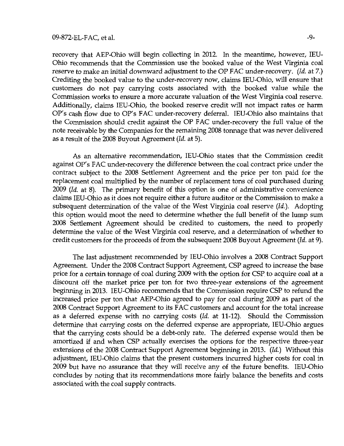recovery that AEP-Ohio will begin collecting in 2012. In the meantime, however, lEU-Ohio recommends that the Commission use the booked value of the West Virginia coal reserve to make an initial downward adjustment to the OP FAC under-recovery. (Id. at 7.) Crediting the booked value to the under-recovery now, claims lEU-Ohio, will ensure that customers do not pay carrying costs associated with the booked value while the Commission works to ensure a more accurate valuation of the West Virginia coal reserve. Additionally, claims lEU-Ohio, the booked reserve credit will not impact rates or harm OP's cash flow due to OP's FAC under-recovery deferral, lEU-Ohio also maintains that the Commission should credit against the OP FAC under-recovery the full value of the note receivable by the Companies for the remaining 2008 tonnage that was never delivered as a result of the 2008 Buyout Agreement (Id. at 5).

As an alternative recommendation, lEU-Ohio states that the Commission credit against OP's FAC under-recovery the difference between the coal contract price under the contract subject to the 2008 Settlement Agreement and the price per ton paid for the replacement coal multiplied by the number of replacement tons of coal purchased during 2009 (Id. at 8). The primary benefit of this option is one of administrative convenience claims lEU-Ohio as it does not require either a future auditor or the Commission to make a subsequent determination of the value of the West Virginia coal reserve (Id.). Adopting this option would moot the need to determine whether the full benefit of the lump sum 2008 Settiement Agreement should be credited to customers, the need to properly determine the value of the West Virginia coal reserve, and a determination of whether to credit customers for the proceeds of from the subsequent 2008 Buyout Agreement (Id. at 9).

The last adjustment recommended by lEU-Ohio involves a 2008 Contract Support Agreement. Under the 2008 Contract Support Agreement, CSP agreed to increase the base price for a certain tonnage of coal during 2009 with the option for CSP. to acquire coal at a discount off the market price per ton for two three-year extensions of the agreement beginning in 2013. lEU-Ohio recommends that the Commission require CSP to refund the increased price per ton that AEP-Ohio agreed to pay for coal during 2009 as part of the 2008 Contract Support Agreement to its FAC customers and account for the total increase as a deferred expense with no carrying costs (Id. at 11-12). Should the Commission determine that carrying costs on the deferred expense are appropriate, lEU-Ohio argues that the carrying costs should be a debt-only rate. The deferred expense would then be amortized if and when CSP actually exercises the options for the respective three-year extensions of the 2008 Contract Support Agreement beginning in 2013. (Id.) Without this adjustment, lEU-Ohio claims that the present customers incurred higher costs for coal in 2009 but have no assurance that they will receive any of the future benefits. lEU-Ohio concludes by noting that its recommendations more fairly balance the benefits and costs associated with the coal supply contracts.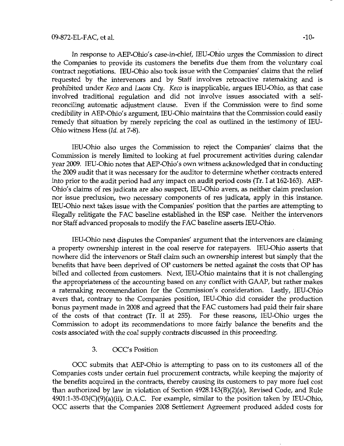In response to AEP-Ohio's case-in-chief, lEU-Ohio urges the Commission to direct the Companies to provide its customers the benefits due them from the voluntary coal contract negotiations. lEU-Ohio also took issue with the Companies' claims that the relief requested by the intervenors and by Staff involves retroactive ratemaking and is prohibited under Keco and Lucas Cty. Keco is inapplicable, argues IEU-Ohio, as that case involved traditional regulation and did not involve issues associated with a selfreconciling automatic adjustment clause. Even if the Commission were to find some credibility in AEP-Ohio's argument, lEU-Ohio maintains that the Commission could easily remedy that situation by merely repricing the coal as outlined in the testimony of lEU-Ohio witness Hess (Id. at 7-8).

lEU-Ohio also urges the Commission to reject the Companies' claims that the Commission is merely limited to looking at fuel procurement activities during calendar year 2009. lEU-Ohio notes that AEP-Ohio's own witness acknowledged that in conducting the 2009 audit that it was necessary for the auditor to determine whether contracts entered into prior to the audit period had any impact on audit period costs (Tr. I at 162-163). AEP-Ohio's claims of res judicata are also suspect, lEU-Ohio avers, as neither claim preclusion nor issue preclusion, two necessary components of res judicata, apply in this instance. lEU-Ohio next takes issue with the Companies' position that the parties are attempting to illegally relitigate the FAC baseline established in the ESP case. Neither the intervenors nor Staff advanced proposals to modify the FAC baseline asserts lEU-Ohio.

lEU-Ohio next disputes the Companies' argument that the intervenors are claiming a property ownership interest in the coal reserve for ratepayers. lEU-Ohio asserts that nowhere did the intervenors or Staff claim such an ownership interest but simply that the benefits that have been deprived of OP customers be netted against the costs that OP has billed and collected from customers. Next, lEU-Ohio maintains that it is not challenging the appropriateness of the accounting based on any conflict with GAAP, but rather makes a ratemaking recommendation for the Commission's consideration. Lastly, IEU-Ohio avers that, contrary to the Companies position, lEU-Ohio did consider the production bonus payment made in 2008 and agreed that the FAC customers had paid their fair share of the costs of that contract (Tr. II at 255). For these reasons, lEU-Ohio urges the Commission to adopt its recommendations to more fairly balance the benefits and the costs associated with the coal supply contracts discussed in this proceeding.

### 3. OCC's Position

OCC submits that AEP-Ohio is attempting to pass on to its customers all of the Companies costs under certain fuel procurement contracts, while keeping the majority of the benefits acquired in the contracts, thereby causing its customers to pay more fuel cost than authorized by law in violation of Section 4928.143(B)(2)(a), Revised Code, and Rule 4901:l-35-03(C)(9)(a)(ii), O.A.C For example, similar to the position taken by lEU-Ohio, OCC asserts that the Companies 2008 Settlement Agreement produced added costs for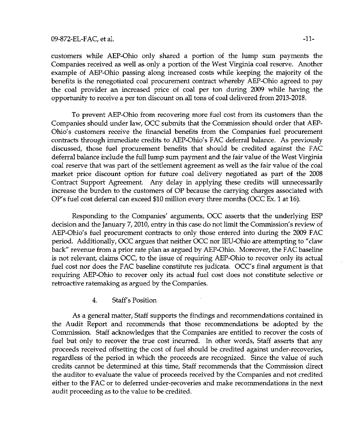### 09-872-EL-FAC, et al.  $-11-$

customers while AEP-Ohio only shared a portion of the lump sum payments the Companies received as well as only a portion of the West Virginia coal reserve. Another example of AEP-Ohio passing along increased costs while keeping the majority of the benefits is the renegotiated coal procurement contract whereby AEP-Ohio agreed to pay the coal provider an increased price of coal per ton during 2009 while having the opportunity to receive a per ton discount on all tons of coal delivered from 2013-2018.

To prevent AEP-Ohio from recovering more fuel cost from its customers than the Companies should under law, OCC submits that the Commission should order that AEP-Ohio's customers receive the financial benefits from the Companies fuel procurement contracts through immediate credits to AEP-Ohio's FAC deferral balance. As previously discussed, those fuel procurement benefits that should be credited against the FAC deferral balance include the full lump sum payment and the fair value of the West Virginia coal reserve that was part of the settlement agreement as well as the fair value of the coal market price discount option for future coal delivery negotiated as part of the 2008 Contract Support Agreement. Any delay in applying these credits will unnecessarily increase the burden to the customers of OP because the carrying charges associated with OP's fuel cost deferral can exceed  $$10$  million every three months (OCC Ex. 1 at 16).

Responding to the Companies' arguments, OCC asserts that the underlying ESP decision and the January 7, 2010, entry in this case do not limit the Commission's review of AEP-Ohio's fuel procurement contracts to only those entered into during the 2009 FAC period. Additionally, OCC argues that neither OCC nor lEU-Ohio are attempting to "claw back" revenue from a prior rate plan as argued by AEP-Ohio. Moreover, the FAC baseline is not relevant, claims OCC, to the issue of requiring AEP-Ohio to recover only its actual fuel cost nor does the FAC baseline constitute res judicata. OCC's final argument is that requiring AEP-Ohio to recover only its actual fuel cost does not constitute selective or retroactive ratemaking as argued by the Companies.

4, Staff's Position

As a general matter. Staff supports the findings and recommendations contained in the Audit Report and recommends that those recommendations be adopted by the Commission. Staff acknowledges that the Companies are entitied to recover the costs of fuel but only to recover the true cost incurred. In other words, Staff asserts that any proceeds received offsetting the cost of fuel should be credited against under-recoveries, regardless of the period in which the proceeds are recognized. Since the value of such credits cannot be determined at this time. Staff recommends that the Commission direct the auditor to evaluate the value of proceeds received by the Companies and not credited either to the FAC or to deferred under-recoveries and make recommendations in the next audit proceeding as to the value to be credited.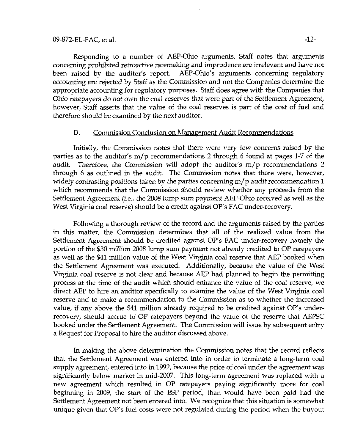Responding to a number of AEP-Ohio arguments. Staff notes that arguments concerning prohibited retroactive ratemaking and imprudence are irrelevant and have not been raised by the auditor's report. AEP-Ohio's arguments concerning regulatory accounting are rejected by Staff as the Commission and not the Companies determine the appropriate accounting for regulatory purposes. Staff does agree with the Companies that Ohio ratepayers do not own the coal reserves that were part oi the Settlement Agreement, however, Staff asserts that the value of the coal reserves is part of the cost of fuel and therefore should be examined by the next auditor.

### D. Commission Conclusion on Management Audit Recommendations

Initially, the Commission notes that there were very few concerns raised by the parties as to the auditor's  $m/p$  recommendations 2 through 6 found at pages 1-7 of the audit. Therefore, the Commission will adopt the auditor's  $m/p$  recommendations 2 through 6 as outlined in the audit. The Commission notes that there were, however, widely contrasting positions taken by the parties concerning m/ p audit recommendation 1 which recommends that the Commission should review whether any proceeds from the Settlement Agreement (i.e., the 2008 lump sum payment AEP-Ohio received as well as the West Virginia coal reserve) should be a credit against OP's FAC under-recovery.

Following a thorough review of the record and the arguments raised by the parties in this matter, the Commission determines that all of the realized value from the Settlement Agreement should be credited against OP's FAC under-recovery namely the portion of the \$30 million 2008 lump sum payment not already credited to OP ratepayers as well as the \$41 million value of the West Virginia coal reserve that AEP booked when the Settlement Agreement was executed. Additionally, because the value of the West Virginia coal reserve is not clear and because AEP had planned to begin the permitting process at the time of the audit which should enhance the value of the coal reserve, we direct AEP to hire an auditor specifically to examine the value of the West Virginia coal reserve and to make a recommendation to the Commission as to whether the increased value, if any above the \$41 million already required to be credited against OP's underrecovery, should accrue to OP ratepayers beyond the value of the reserve that AEPSC booked under the Settiement Agreement. The Commission will issue by subsequent entry a Request for Proposal to hire the auditor discussed above.

In making the above determination the Commission notes that the record reflects that the Settlement Agreement was entered into in order to terminate a long-term coal supply agreement, entered into in 1992, because the price of coal under the agreement was significantly below market in mid-2007. This long-term agreement was replaced with a new agreement which resulted in OP ratepayers paying significantly more for coal beginning in 2009, the start of the ESP period, than would have been paid had the Settlement Agreement not been entered into. We recognize that this situation is somewhat unique given that OP's fuel costs were not regulated during the period when the buyout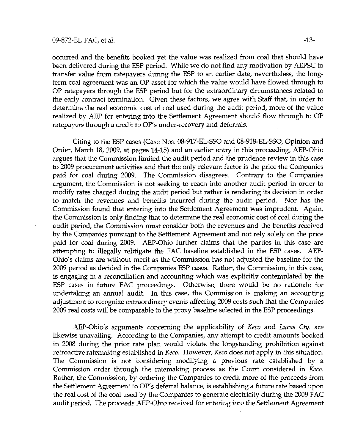### 09-872-EL-FAC, et al. -13-

occurred and the benefits booked yet the value was realized from coal that should have been delivered during the ESP period. While we do not find any motivation by AEPSC to transfer value from ratepayers during the ESP to an earlier date, nevertheless, the longterm coal agreement was an OP asset for which the value would have flowed through to OP ratepayers through the ESP period but for the extraordinary circumstances related to the early contract termination. Given these factors, we agree with Staff that, in order to determine the real economic cost of coal used during the audit period, more of the value realized by AEP for entering into the Settlement Agreement should flow through to OP ratepayers through a credit to OP's under-recovery and deferrals.

Citing to the ESP cases (Case Nos. 08-917-EL-SSO and 08-918-EL-SSO, Opinion and Order, March 18, 2009, at pages 14-15) and an earlier entry in this proceeding, AEP-Ohio argues that the Commission limited the audit period and the prudence review in this case to 2009 procurement activities and that the only relevant factor is the price the Companies paid for coal during 2009. The Commission disagrees. Contrary to the Companies argument, the Commission is not seeking to reach into another audit period in order to modify rates charged during the audit period but rather is rendering its decision in order to match the revenues and benefits incurred during the audit period. Nor has the Commission found that entering into the Settlement Agreement was imprudent. Again, the Commission is only finding that to determine the real economic cost of coal during the audit period, the Commission must consider both the revenues and the benefits received by the Companies pursuant to the Settlement Agreement and not rely solely on the price paid for coal during 2009. AEP-Ohio further claims that the parties in this case are attempting to illegally relitigate the FAC baseline established in the ESP cases. AEP-Ohio's claims are without merit as the Commission has not adjusted the baseline for the 2009 period as decided in the Companies ESP cases. Rather, the Commission, in this case, is engaging in a reconciliation and accounting which was explicitly contemplated by the ESP cases in future FAC proceedings. Otherwise, there would be no rationale for undertaking an annual audit. In this case, the Commission is making an accounting adjustment to recognize extraordinary events affecting 2009 costs such that the Companies 2009 real costs will be comparable to the proxy baseline selected in the ESP proceedings.

AEP-Ohio's arguments concerning the applicability of Keco and Lucas Cty. are likewise unavailing. According to the Companies, any attempt to credit amounts booked in 2008 during the prior rate plan would violate the longstanding prohibition against retroactive ratemaking established in Keco. However, Keco does not apply in this situation. The Commission is not considering modifying a previous rate established by a Commission order through the ratemaking process as the Court considered in Keco. Rather, the Commission, by ordering the Companies to credit more of the proceeds from the Settlement Agreement to OP's deferral balance, is establishing a future rate based upon the real cost of the coal used by the Companies to generate electricity during the 2009 FAC audit period. The proceeds AEP-Ohio received for entering into the Settiement Agreement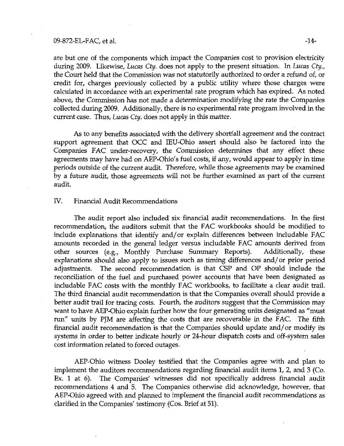#### 09-872-EL-FAC, et al.  $-14-$

are but one of the components which impact the Companies cost to provision electricity during 2009. Likewise, Lucas Cty. does not apply to the present situation. In Lucas Cty., the Court held that the Commission was not statutorily authorized to order a refund of, or credit for, charges previously collected by a public utility where those charges were calculated in accordance with an experimental rate program which has expired. As noted above, the Commission has not made a determination modifying the rate the Companies collected during 2009. Additionally, there is no experimental rate program involved in the current case. Thus, Lucas Cty. does not apply in this matter.

As to any benefits associated with the delivery shortfall agreement and the contract support agreement that OCC and lEU-Ohio assert should also be factored into the Companies FAC under-recovery, the Commission determines that any effect these agreements may have had on AEP-Ohio's fuel costs, if any, would appear to apply in time periods outside of the current audit. Therefore, while those agreements may be examined by a future audit, those agreements wiU not be further examined as part of the current audit.

## IV. Financial Audit Recommendations

The audit report also included six financial audit recommendations. In the first recommendation, the auditors submit that the FAC workbooks should be modified to include explanations that identify and/or explain differences between includable FAC amounts recorded in the general ledger versus includable FAC amounts derived fiom other sources (e.g., Monthly Purchase Summary Reports), Additionally, these explanations should also apply to issues such as timing differences and/or prior period adjustments. The second recommendation is that CSP and OP should include the reconciliation of the fuel and purchased power accounts that have been designated as includable FAC costs with the monthly FAC workbooks, to facilitate a clear audit trail. The third financial audit recommendation is that the Companies overall should provide a better audit trail for tracing costs. Fourth, the auditors suggest that the Commission may want to have AEP-Ohio explain further how the four generating units designated as "must run" units by PJM are affecting the costs that are recoverable in the FAC. The fifth financial audit recommendation is that the Companies should update and/or modify its systems in order to better indicate hourly or 24-hour dispatch costs and off-system sales cost information related to forced outages.

AEP-Ohio witness Dooley testified that the Companies agree with and plan to implement the auditors recommendations regarding financial audit items 1, 2, and 3 (Co. Ex. 1 at 6). The Companies' witnesses did not specifically address financial audit recommendations 4 and 5. The Companies otherwise did acknowledge, however, that AEP-Ohio agreed with and planned to implement the financial audit recommendations as clarified in the Companies' testimony (Cos. Brief at 51).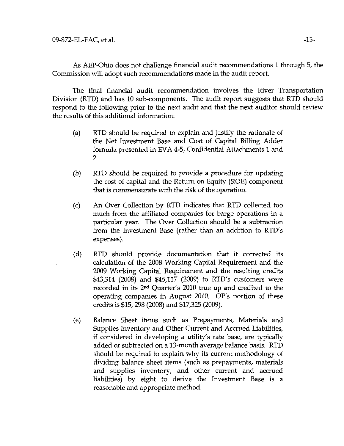As AEP-Ohio does not challenge financial audit recommendations 1 through 5, the Commission will adopt such recommendations made in the audit report.

The final financial audit recommendation involves the River Transportation Division (RTD) and has 10 sub-components. The audit report suggests that RTD should respond to the following prior to the next audit and that the next auditor should review the results of this additional information:

- (a) RTD should be required to explain and justify the rationale of the Net Investment Base and Cost of Capital Billing Adder formula presented in EVA 4-5, Confidential Attachments 1 and 2.
- (b) RTD should be required to provide a procedure for updating the cost of capital and the Return on Equity (ROE) component that is commensurate with the risk of the operation.
- (c) An Over Collection by RTD indicates that RTD collected too much from the affiliated companies for barge operations in a particular year. The Over Collection should be a subtraction fiom the Investment Base (rather than an addition to RTD's expenses).
- (d) RTD shoxild provide documentation that it corrected its calculation of the 2008 Working Capital Requirement and the 2009 Working Capital Requirement and the resulting credits \$43,314 (2008) and \$45,117 (2009) to RTD's customers were recorded in its 2<sup>nd</sup> Quarter's 2010 true up and credited to the operating companies in August 2010. OP's portion of these credits is \$15,298 (2008) and \$17,325 (2009).
- (e) Balance Sheet items such as Prepayments, Materials and Supplies inventory and Other Current and Accrued Liabilities, if considered in developing a utility's rate base, are typically added or subtracted on a 13-month average balance basis. RTD should be required to explain why its current methodology of dividing balance sheet items (such as prepayments, materials and supplies inventory, and other current and accrued liabilities) by eight to derive the Investment Base is a reasonable and appropriate method.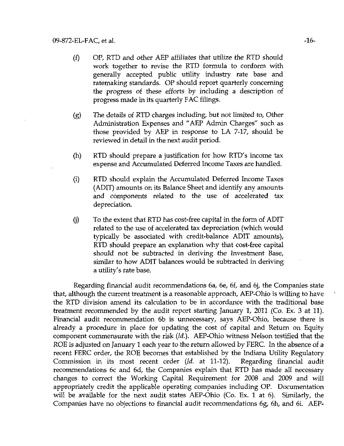- (f) OP, RTD and other AEP affiliates that utilize the RTD should work together to revise the RTD formula to conform with generally accepted public utility industry rate base and ratemaking standards. OP should report quarterly concerning the progress of these efforts by including a description of progress made in its quarterly FAC filings.
- (g) The details of RTD charges including, but not limited to, Other Administration Expenses and "AEP Admin Charges" such as those provided by AEP in response to LA 7-17, should be reviewed in detail in the next audit period.
- (h) RTD should prepare a justification for how RTD's income tax expense and Accumulated Deferred Income Taxes are handled.
- (i) RTD should explain the Accumulated Deferred Income Taxes (ADIT) amounts on its Balance Sheet and identify any amounts and components related to the use of accelerated tax depreciation.
- (j) To the extent that RTD has cost-free capital in the form of ADIT related to the use of accelerated tax depreciation (which would typically be associated with credit-balance ADIT amounts), RTD should prepare an explanation why that cost-free capital should not be subtracted in deriving the Investment Base, similar to how ADIT balances would be subtracted in deriving a utility's rate base.

Regarding financial audit recommendations 6a, 6e, 6f, and 6j, the Companies state that, although the current treatment is a reasonable approach, AEP-Ohio is willing to have the RTD division amend its calculation to be in accordance with the traditional base treatment recommended by the audit report starting January 1, 2011 (Co, Ex. 3 at 11). Financial audit recommendation 6b is unnecessary, says AEP-Ohio, because there is already a procedure in place for updating the cost of capital and Return on Equity component commensurate with the risk (Id.). AEP-Ohio witness Nelson testified that the ROE is adjusted on January 1 each year to the return allowed by FERC. In the absence of a recent FERC order, the ROE becomes that established by the Indiana Utility Regulatory Commission in its most recent order (Id. at 11-12). Regarding financial audit recommendations 6c and 6d, the Companies explain that RTD has made all necessary changes to correct the Working Capital Requirement for 2008 and 2009 and will appropriately credit the applicable operating companies including OP. Documentation will be available for the next audit states AEP-Ohio (Co. Ex. 1 at 6). Similarly, the Companies have no objections to financial audit recommendations 6g, 6h, and 6i. AEP-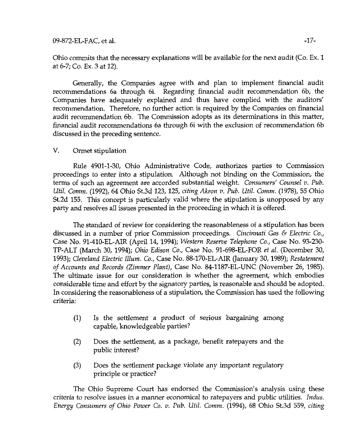Ohio comnnits that the necessary explanations will be available for the next audit (Co. Ex, 1 at 6-7; Co. Ex. 3 at 12).

Generally, the Companies agree with and plan to implement financial audit recommendations 6a through 6i. Regarding financial audit recommendation 6b, the Companies have adequately explained and thus have complied with the auditors' recommendation. Therefore, no further action is required by the Companies on financial audit recommendation 6b. The Commission adopts as its determinations in this matter, financial audit recommendations 6a through 6i with the exclusion of recommendation 6b discussed in the preceding sentence.

# V. Ormet stipulation

Rule 4901-1-30, Ohio Administrative Code, authorizes parties to Commission proceedings to enter into a stipulation. Although not binding on the Commission, the terms of such an agreement are accorded substantial weight. Consumers' Counsel v. Pub. Util Comm. (1992), 64 Ohio St.3d 123,125, citing Akron v. Pub. Util. Comm. (1978), 55 Ohio St.2d 155. This concept is particularly valid where the stipulation is unopposed by any party and resolves all issues presented in the proceeding in which it is offered.

The standard of review for considering the reasonableness of a stipulation has been discussed in a number of prior Commission proceedings. Cincinnati Gas & Electric Co., Case No. 91-410-EL-AIR (April 14, 1994); Western Reserve Telephone Co., Case No. 93-230- TP-ALT (March 30, 1994); Ohio Edison Co., Case No. 91-698-EL-FOR et al. (December 30, 1993); Cleveland Electric Ilium. Co., Case No. 88-170-EL-AlR (January 30,1989); Restatement of Accounts and Records (Zimmer Plant), Case No. 84-1187-EL-UNC (November 26, 1985). The ultimate issue for our consideration is whether the agreement, which embodies considerable time and effort by the signatory parties, is reasonable and should be adopted. In considering the reasonableness of a stipulation, the Commission has used the following criteria:

- (1) Is the settlement a product of serious bargaining among capable, knowledgeable parties?
- (2) Does the settlement, as a package, benefit ratepayers and the public interest?
- (3) Does the settlement package violate any important regulatory principle or practice?

The Ohio Supreme Court has endorsed the Commission's analysis using these criteria to resolve issues in a manner economical to ratepayers and public utilities. Indus. Energy Consumers of Ohio Power Co. v. Pub. Util. Comm. (1994), 68 Ohio St.3d 559, citing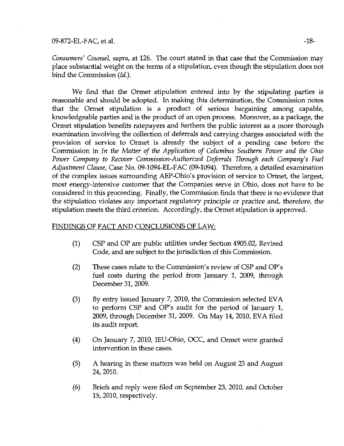# 09-872-EL-FAC, et al. 48-

Consumers' Counsel, supra, at 126. The court stated in that case that the Commission may place substantial weight on the terms of a stipulation, even though the stipulation does not bind the Commission (Id.).

We find that the Ormet stipulation entered into by the stipulating parties is reasonable and should be adopted. In making this determination, the Commission notes that the Ormet stipulation is a product of serious bargaining among capable, knowledgeable parties and is the product of an open process. Moreover, as a package, the Ormet stipulation benefits ratepayers and furthers the public interest as a more thorough examination involving the collection of deferrals and carrying charges associated with the provision of service to Ormet is already the subject of a pending case before the Commission in In the Matter of the Application of Columbus Southern Power and the Ohio Power Company to Recover Commission-Authorized Deferrals Through each Company's Fuel Adjustment Clause, Case No. 09-1094-EL-FAC (09-1094). Therefore, a detailed examination of the complex issues surrounding AEP-Ohio's provision of service to Ormet, the largest, most energy-intensive customer that the Companies serve in Ohio, does not have to be considered in this proceeding. Finally, the Commission finds that there is no evidence that the stipulation violates any important regulatory principle or practice and, therefore, the stipulation meets the third criterion. Accordingly, the Ormet stipulation is approved.

### FINDINGS OF FACT AND CONCLUSIONS OF LAW:

- (1) CSP and O? are public utilities under Section 4905,02, Revised Code, and are subject to the jurisdiction of this Commission.
- (2) These cases relate to the Commission's review of CSP and OP's fuel costs during the period from January 1, 2009, through December 31, 2009.
- (3) By entry issued January 7, 2010, the Commission selected EVA to perform CSP and OP's audit for the period of January 1, 2009, through December 31, 2009. On May 14, 2010, EVA filed its audit report.
- (4) On January 7, 2010, lEU-Ohio, OCC, and Ormet were granted intervention in these cases.
- (5) A hearing in these matters was held on August 23 and August 24,2010.
- (6) Briefs and reply were filed on September 23, 2010, and October 15, 2010, respectively.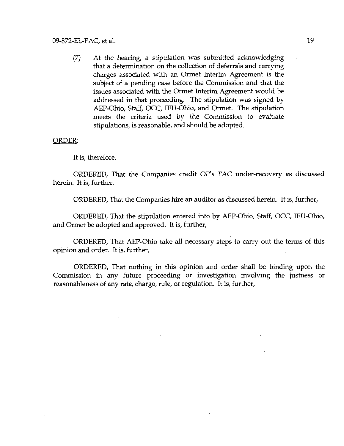(7) At the hearing, a stipulation was submitted acknowledging that a determination on the collection of deferrals and carrying charges associated with an Ormet Interim Agreement is the subject of a pending case before the Commission and that the issues associated with the Ormet Interim Agreement would be addressed in that proceeding. The stipulation was signed by AEP-Ohio, Staff, OCC, lEU-Ohio, and Ormet. The stipulation meets the criteria used by the Commission to evaluate stipulations, is reasonable, and should be adopted.

### ORDER:

It is, therefore,

ORDERED, That the Companies credit OP's FAC under-recovery as discussed herein. It is, further,

ORDERED, That the Companies hire an auditor as discussed herein. It is, further,

ORDERED, That the stipulation entered into by AEP-Ohio, Staff, OCC, lEU-Ohio, and Ormet be adopted and approved. It is, further,

ORDERED, That AEP-Ohio take all necessary steps to carry out the terms of this opinion and order. It is, further,

ORDERED, That nothing in this opinion and order shall be binding upon the Commission in any future proceeding or investigation involving the justness or reasonableness of any rate, charge, rule, or regulation. It is, further.